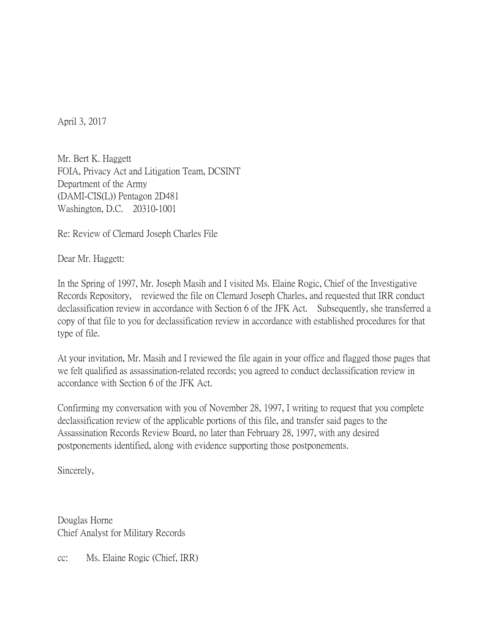April 3, 2017

Mr. Bert K. Haggett FOIA, Privacy Act and Litigation Team, DCSINT Department of the Army (DAMI-CIS(L)) Pentagon 2D481 Washington, D.C. 20310-1001

Re: Review of Clemard Joseph Charles File

Dear Mr. Haggett:

In the Spring of 1997, Mr. Joseph Masih and I visited Ms. Elaine Rogic, Chief of the Investigative Records Repository, reviewed the file on Clemard Joseph Charles, and requested that IRR conduct declassification review in accordance with Section 6 of the JFK Act. Subsequently, she transferred a copy of that file to you for declassification review in accordance with established procedures for that type of file.

At your invitation, Mr. Masih and I reviewed the file again in your office and flagged those pages that we felt qualified as assassination-related records; you agreed to conduct declassification review in accordance with Section 6 of the JFK Act.

Confirming my conversation with you of November 28, 1997, I writing to request that you complete declassification review of the applicable portions of this file, and transfer said pages to the Assassination Records Review Board, no later than February 28, 1997, with any desired postponements identified, along with evidence supporting those postponements.

Sincerely,

Douglas Horne Chief Analyst for Military Records

cc: Ms. Elaine Rogic (Chief, IRR)